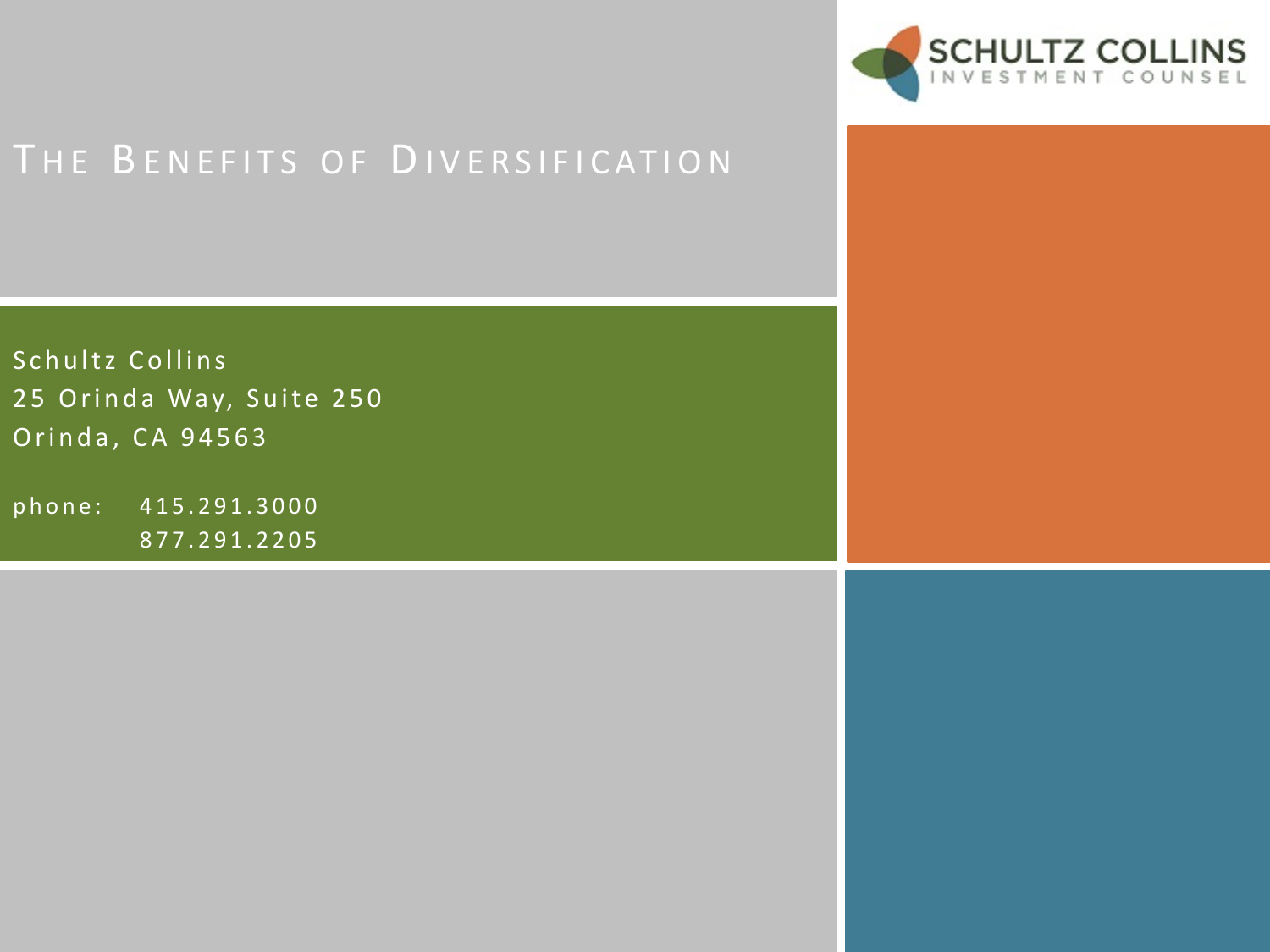

Schultz Collins 25 Orinda Way, Suite 250 Orinda, CA 94563

phone: 415.291.3000 877.291.2205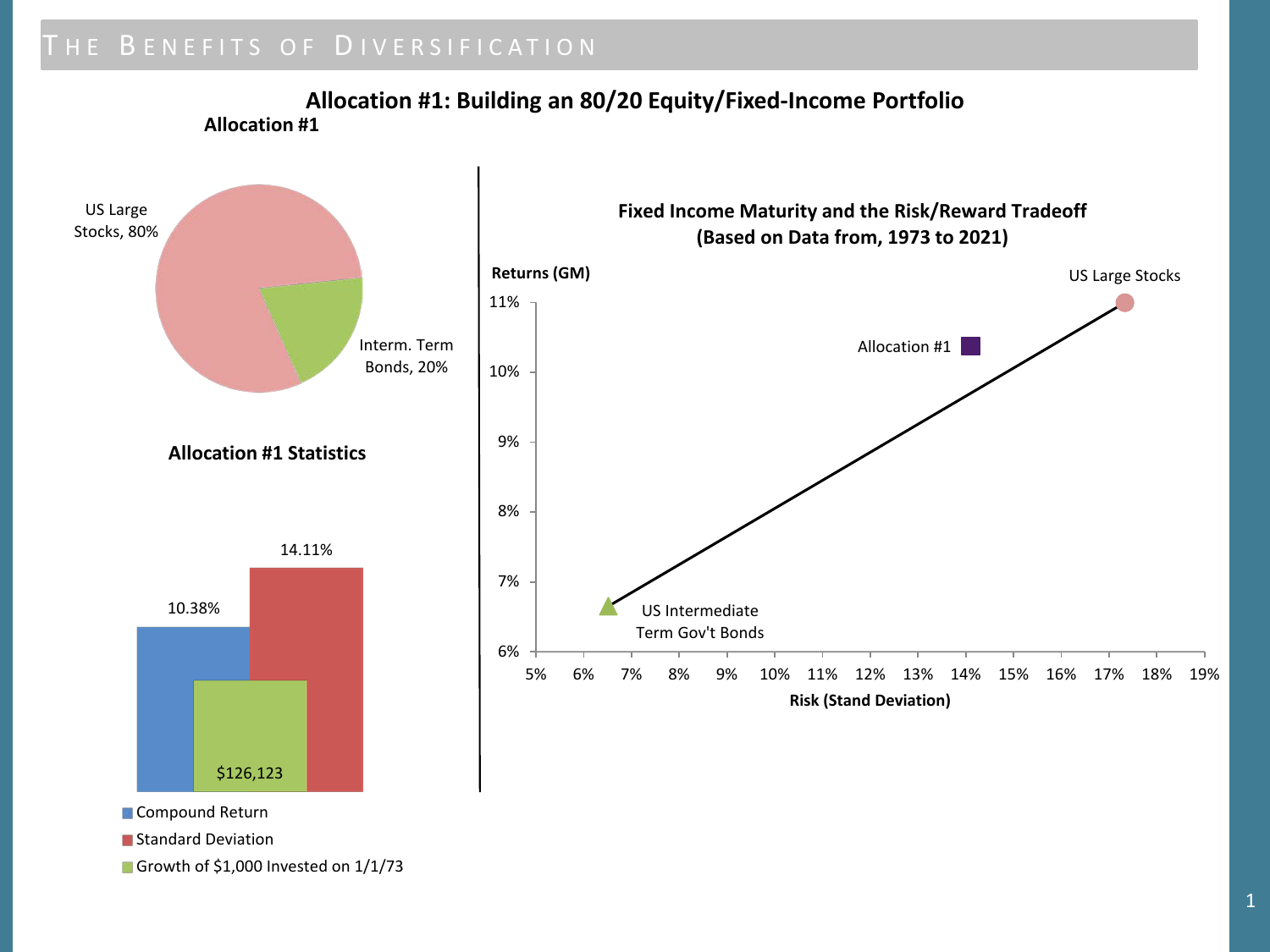**Allocation #1: Building an 80/20 Equity/Fixed-Income Portfolio Allocation #1**



Growth of \$1,000 Invested on 1/1/73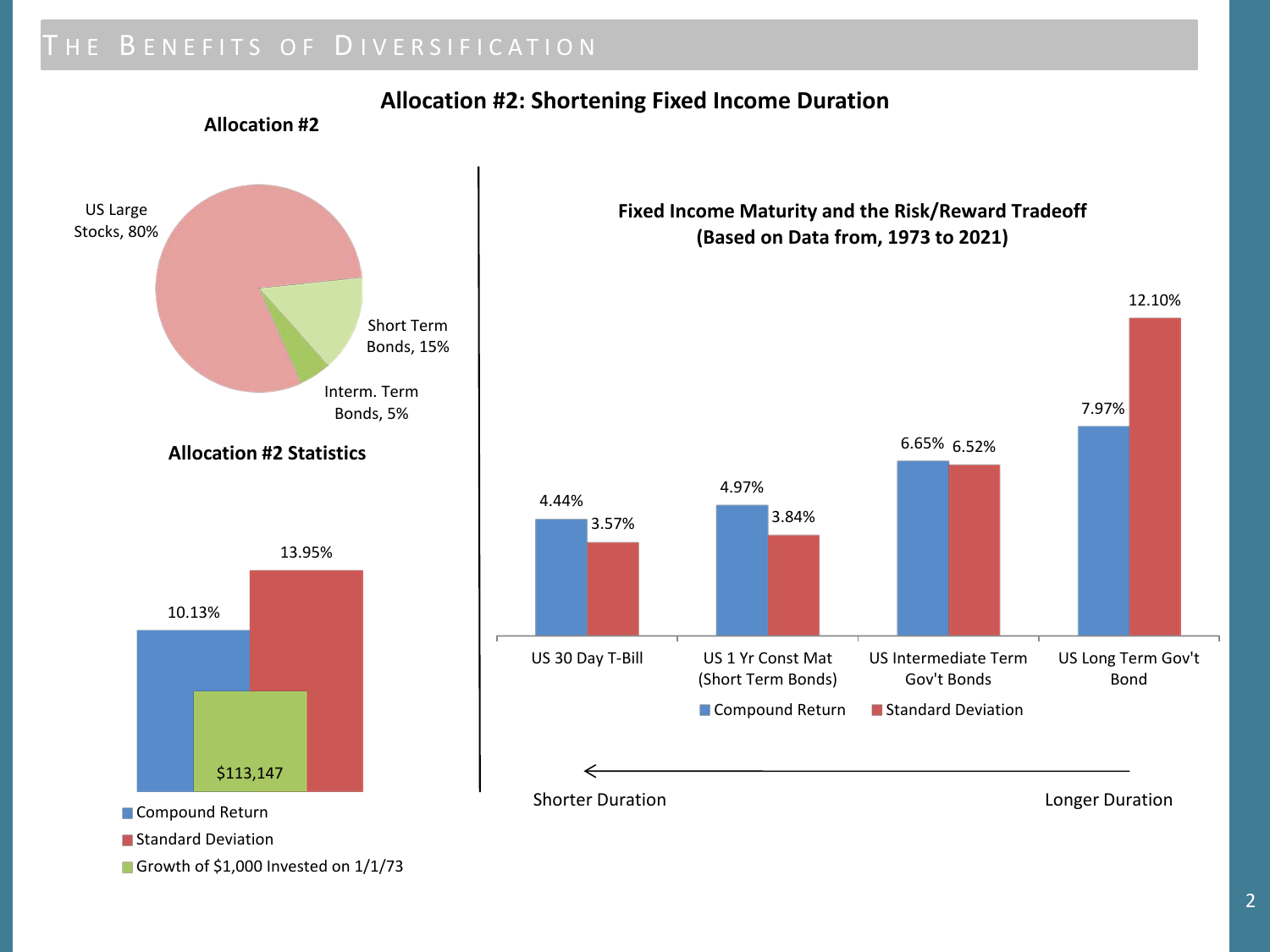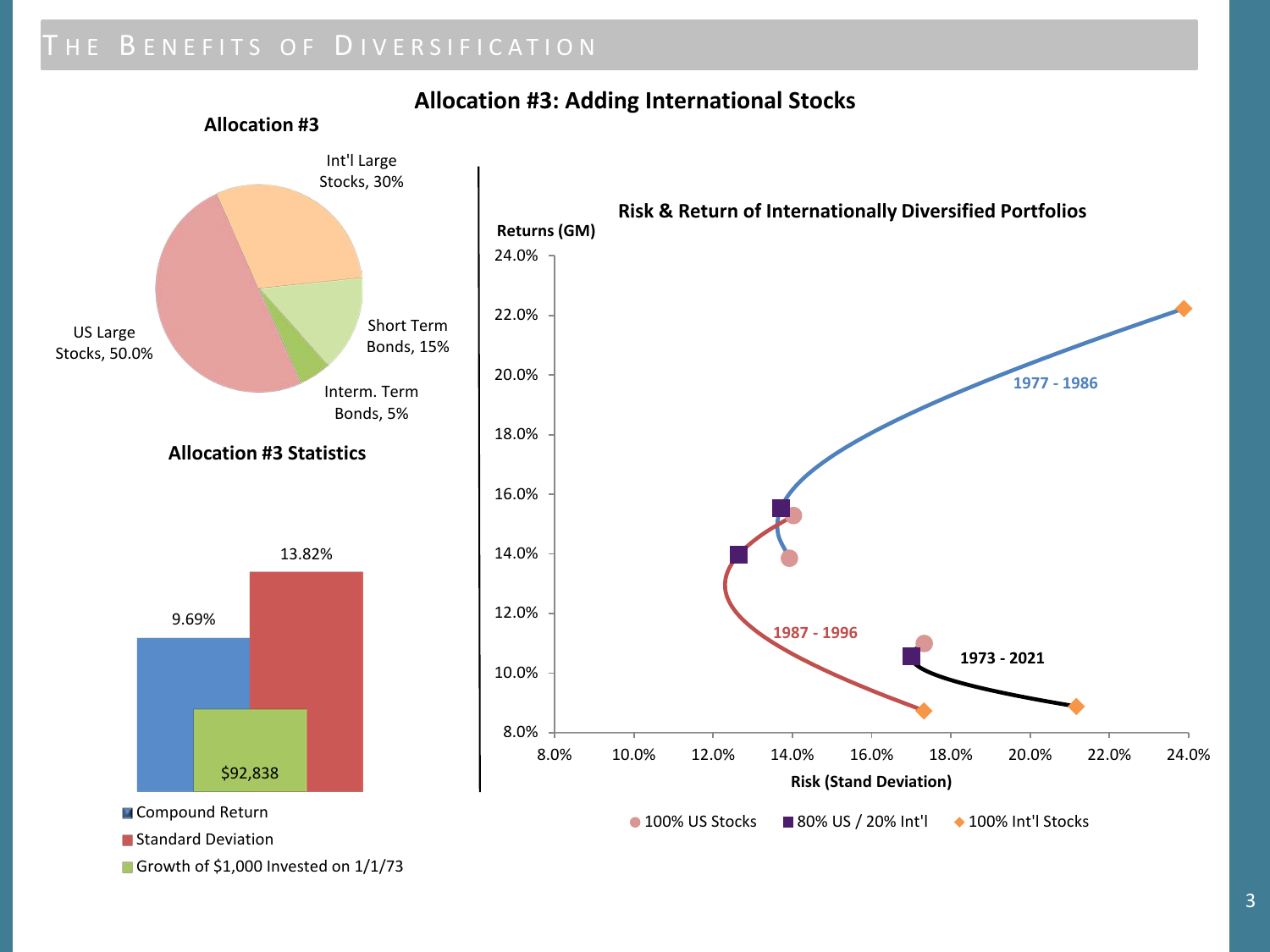

#### **Allocation #3: Adding International Stocks**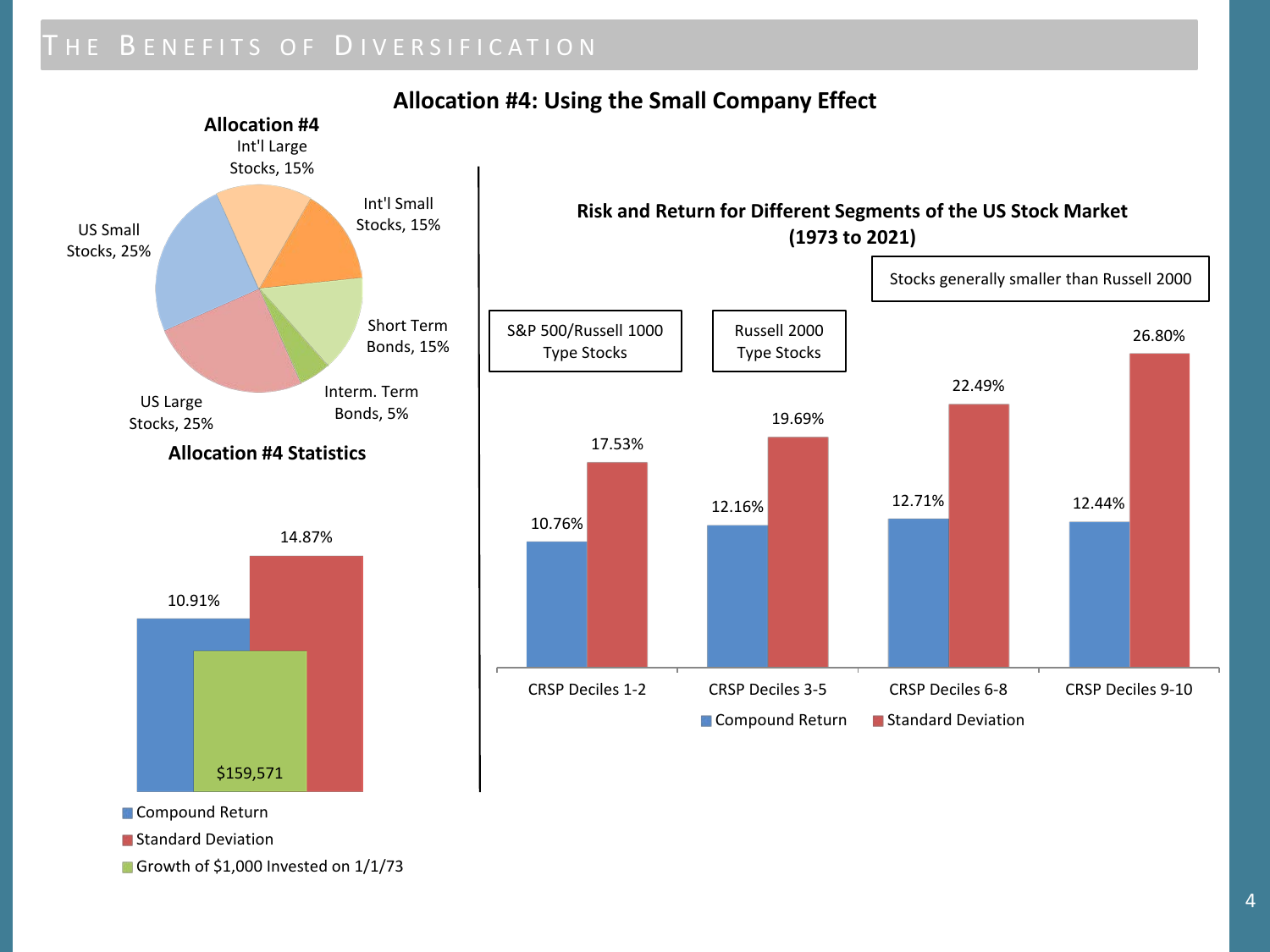

### **Allocation #4: Using the Small Company Effect**

Growth of \$1,000 Invested on 1/1/73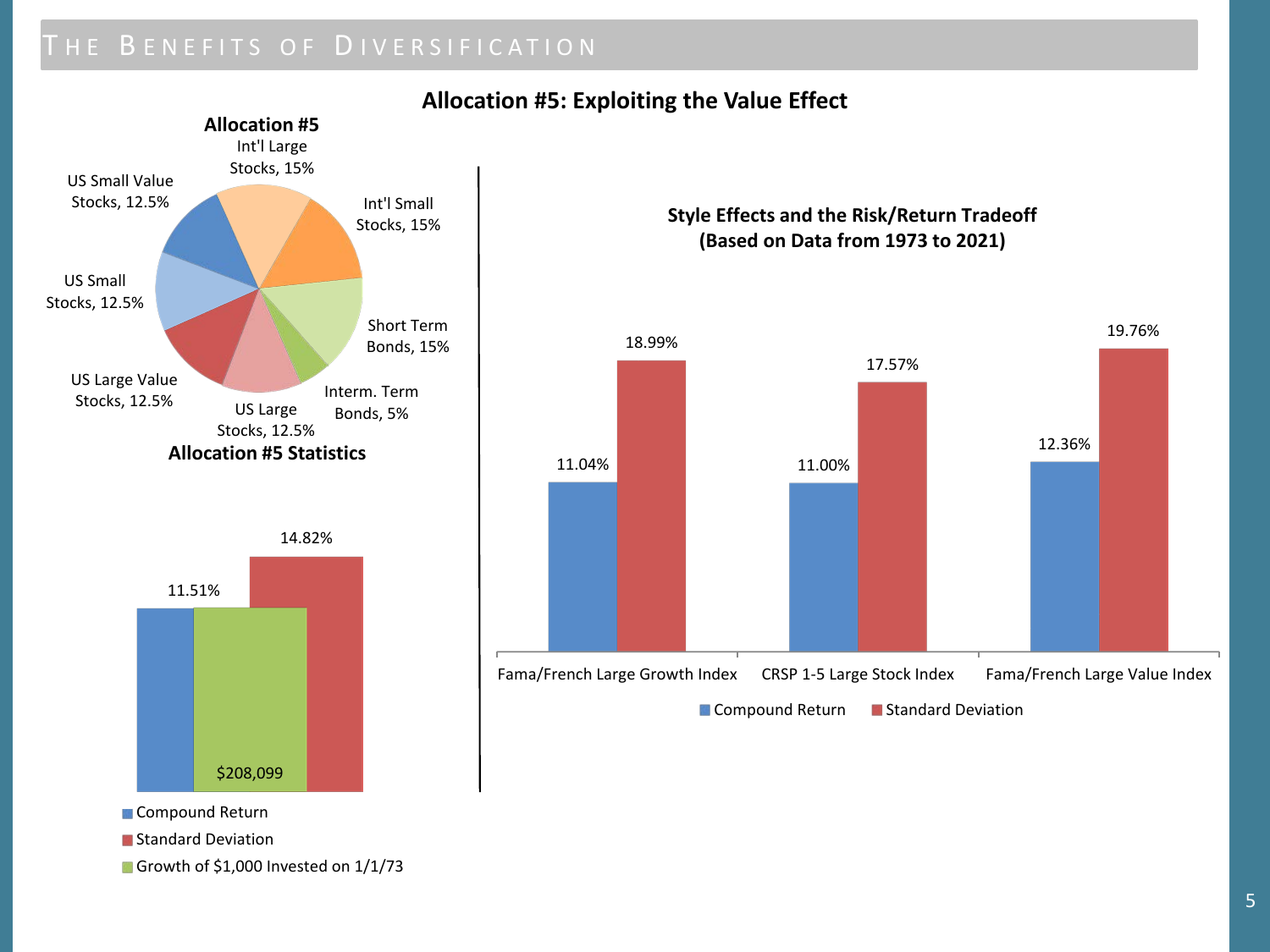

#### **Allocation #5: Exploiting the Value Effect**

Growth of \$1,000 Invested on  $1/1/73$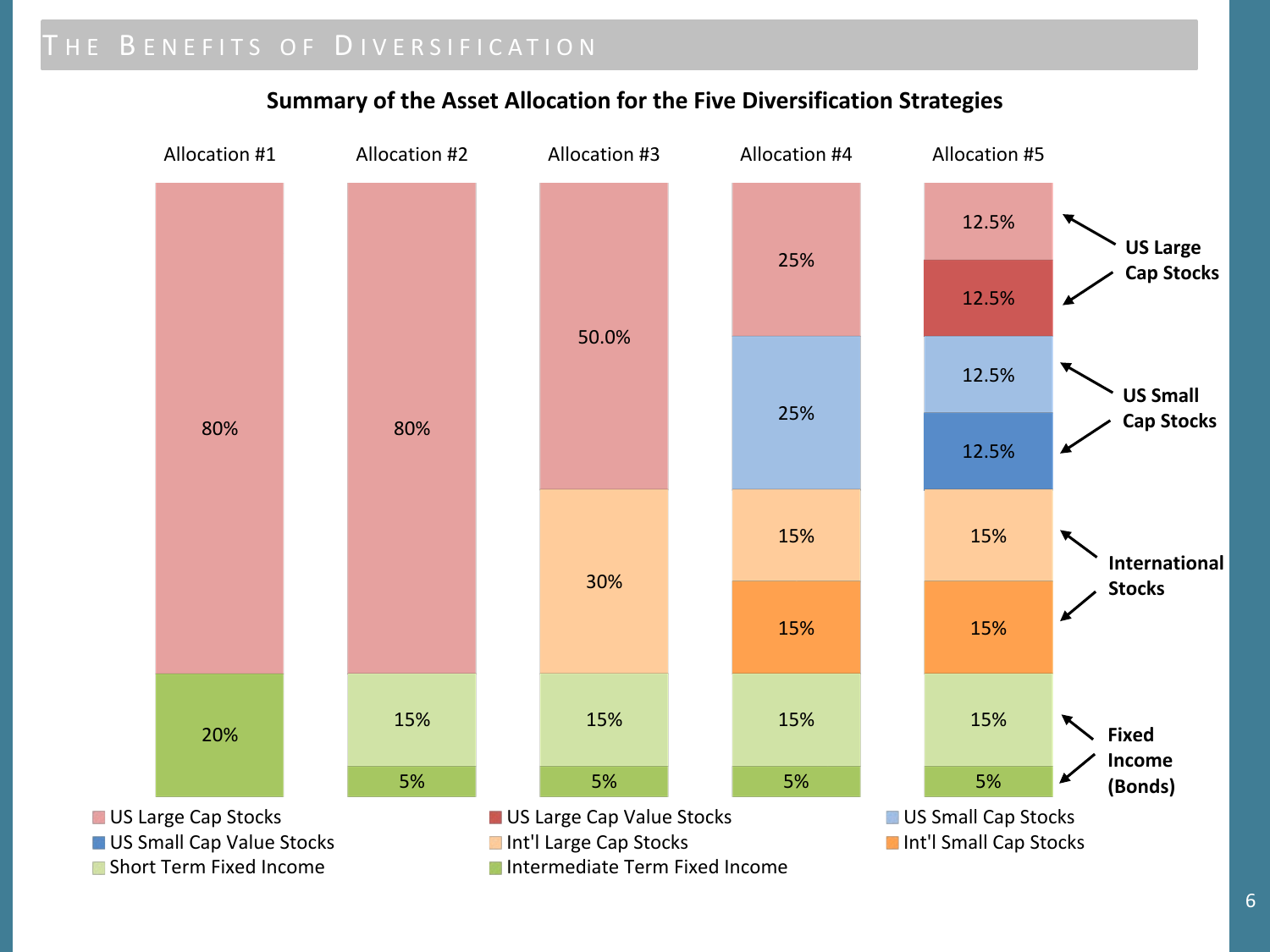

#### **Summary of the Asset Allocation for the Five Diversification Strategies**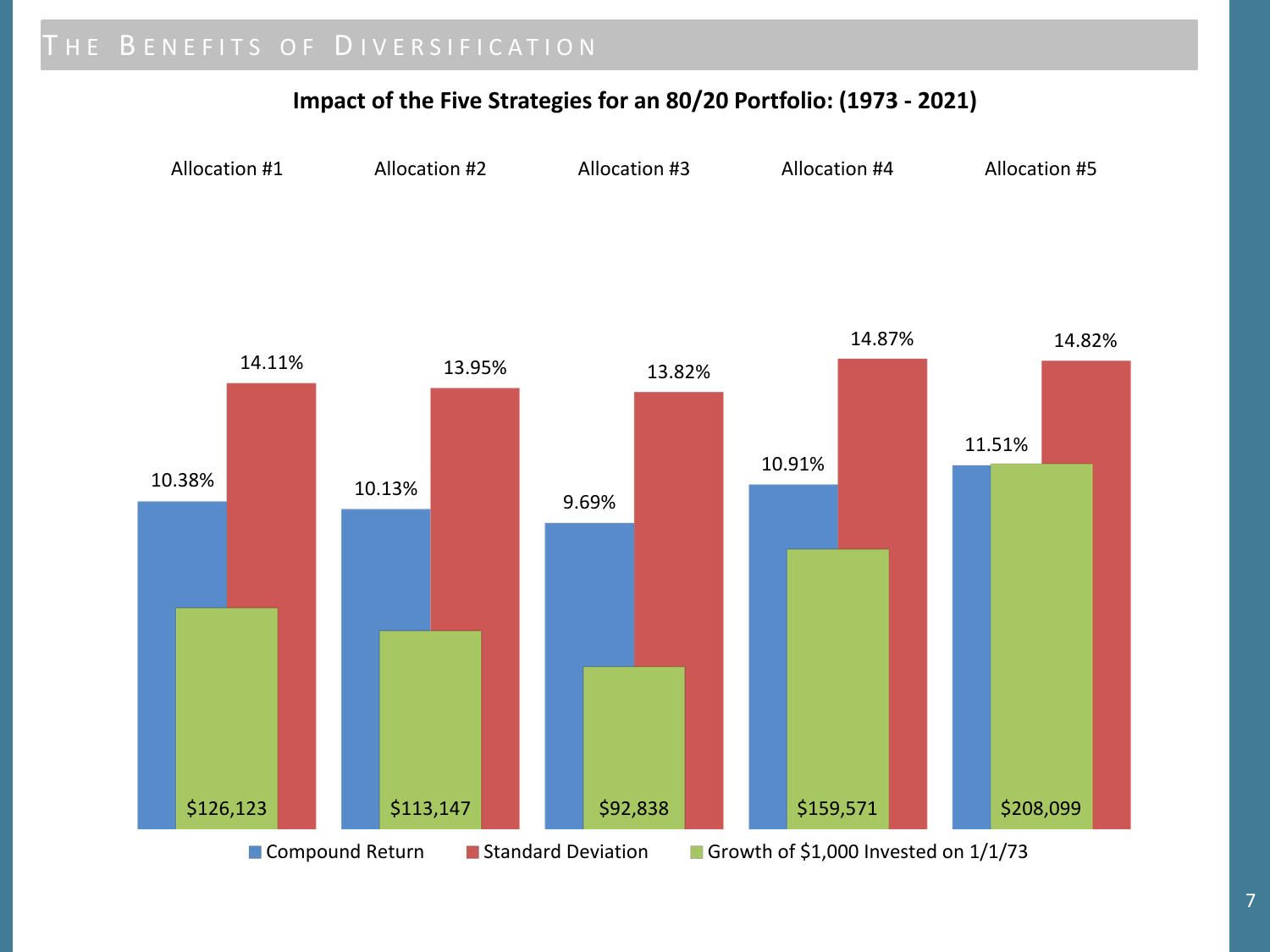### **Impact of the Five Strategies for an 80/20 Portfolio: (1973 - 2021)**

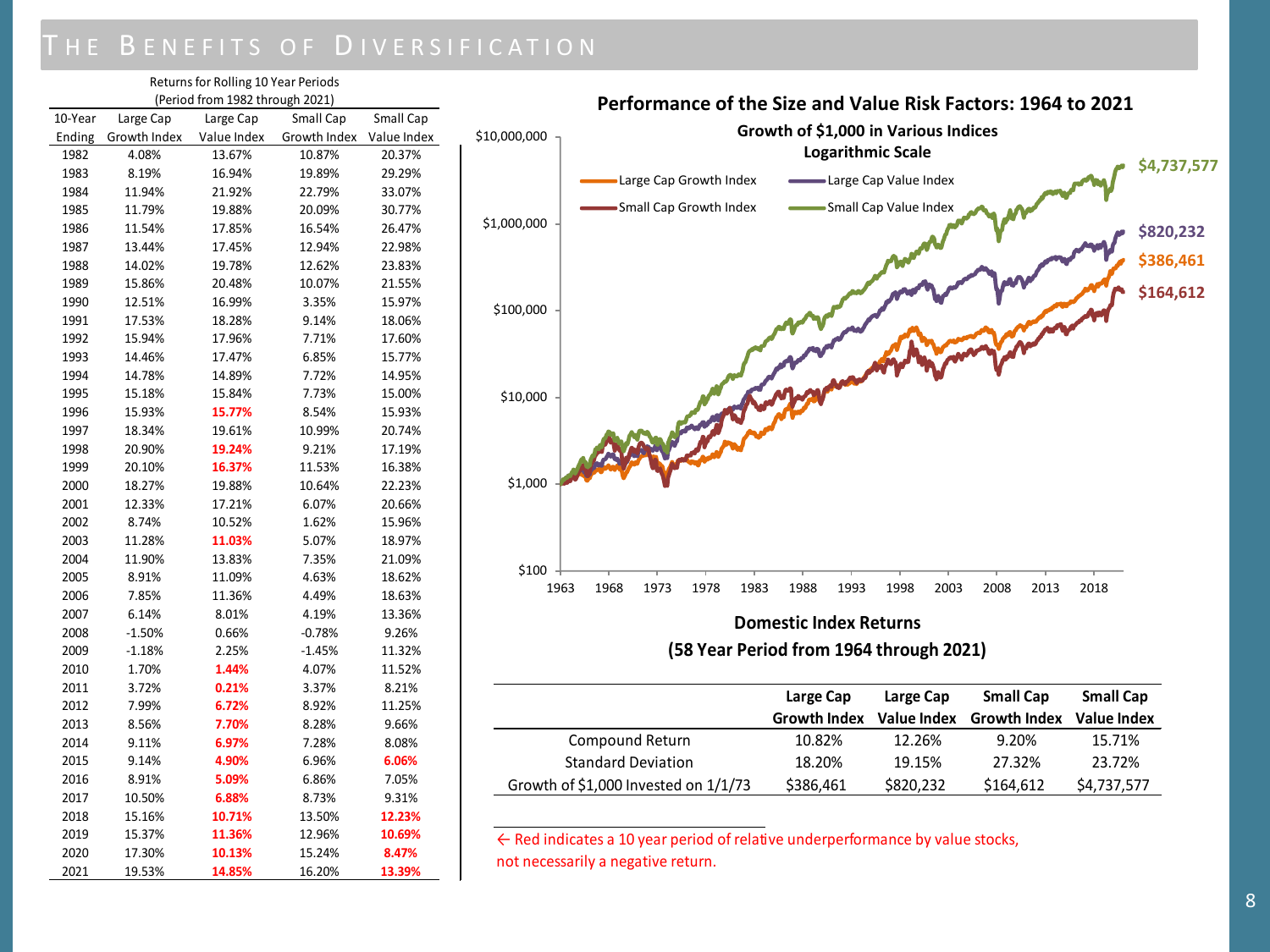| Returns for Rolling 10 Year Periods |              |             |              |             |  |  |  |
|-------------------------------------|--------------|-------------|--------------|-------------|--|--|--|
| (Period from 1982 through 2021)     |              |             |              |             |  |  |  |
| 10-Year                             | Large Cap    | Large Cap   | Small Cap    | Small Cap   |  |  |  |
| Ending                              | Growth Index | Value Index | Growth Index | Value Index |  |  |  |
| 1982                                | 4.08%        | 13.67%      | 10.87%       | 20.37%      |  |  |  |
| 1983                                | 8.19%        | 16.94%      | 19.89%       | 29.29%      |  |  |  |
| 1984                                | 11.94%       | 21.92%      | 22.79%       | 33.07%      |  |  |  |
| 1985                                | 11.79%       | 19.88%      | 20.09%       | 30.77%      |  |  |  |
| 1986                                | 11.54%       | 17.85%      | 16.54%       | 26.47%      |  |  |  |
| 1987                                | 13.44%       | 17.45%      | 12.94%       | 22.98%      |  |  |  |
| 1988                                | 14.02%       | 19.78%      | 12.62%       | 23.83%      |  |  |  |
| 1989                                | 15.86%       | 20.48%      | 10.07%       | 21.55%      |  |  |  |
| 1990                                | 12.51%       | 16.99%      | 3.35%        | 15.97%      |  |  |  |
| 1991                                | 17.53%       | 18.28%      | 9.14%        | 18.06%      |  |  |  |
| 1992                                | 15.94%       | 17.96%      | 7.71%        | 17.60%      |  |  |  |
| 1993                                | 14.46%       | 17.47%      | 6.85%        | 15.77%      |  |  |  |
| 1994                                | 14.78%       | 14.89%      | 7.72%        | 14.95%      |  |  |  |
| 1995                                | 15.18%       | 15.84%      | 7.73%        | 15.00%      |  |  |  |
| 1996                                | 15.93%       | 15.77%      | 8.54%        | 15.93%      |  |  |  |
| 1997                                | 18.34%       | 19.61%      | 10.99%       | 20.74%      |  |  |  |
| 1998                                | 20.90%       | 19.24%      | 9.21%        | 17.19%      |  |  |  |
| 1999                                | 20.10%       | 16.37%      | 11.53%       | 16.38%      |  |  |  |
| 2000                                | 18.27%       | 19.88%      | 10.64%       | 22.23%      |  |  |  |
| 2001                                | 12.33%       | 17.21%      | 6.07%        | 20.66%      |  |  |  |
| 2002                                | 8.74%        | 10.52%      | 1.62%        | 15.96%      |  |  |  |
| 2003                                | 11.28%       | 11.03%      | 5.07%        | 18.97%      |  |  |  |
| 2004                                | 11.90%       | 13.83%      | 7.35%        | 21.09%      |  |  |  |
| 2005                                | 8.91%        | 11.09%      | 4.63%        | 18.62%      |  |  |  |
| 2006                                | 7.85%        | 11.36%      | 4.49%        | 18.63%      |  |  |  |
| 2007                                | 6.14%        | 8.01%       | 4.19%        | 13.36%      |  |  |  |
| 2008                                | $-1.50%$     | 0.66%       | $-0.78%$     | 9.26%       |  |  |  |
| 2009                                | $-1.18%$     | 2.25%       | $-1.45%$     | 11.32%      |  |  |  |
| 2010                                | 1.70%        | 1.44%       | 4.07%        | 11.52%      |  |  |  |
| 2011                                | 3.72%        | 0.21%       | 3.37%        | 8.21%       |  |  |  |
| 2012                                | 7.99%        | 6.72%       | 8.92%        | 11.25%      |  |  |  |
| 2013                                | 8.56%        | 7.70%       | 8.28%        | 9.66%       |  |  |  |
| 2014                                | 9.11%        | 6.97%       | 7.28%        | 8.08%       |  |  |  |
| 2015                                | 9.14%        | 4.90%       | 6.96%        | 6.06%       |  |  |  |
| 2016                                | 8.91%        | 5.09%       | 6.86%        | 7.05%       |  |  |  |
| 2017                                | 10.50%       | 6.88%       | 8.73%        | 9.31%       |  |  |  |
| 2018                                | 15.16%       | 10.71%      | 13.50%       | 12.23%      |  |  |  |
| 2019                                | 15.37%       | 11.36%      | 12.96%       | 10.69%      |  |  |  |
| 2020                                | 17.30%       | 10.13%      | 15.24%       | 8.47%       |  |  |  |
| 2021                                | 19.53%       | 14.85%      | 16.20%       | 13.39%      |  |  |  |



**(58 Year Period from 1964 through 2021)**

|                                      | Large Cap           | Large Cap | <b>Small Cap</b>         | <b>Small Cap</b> |
|--------------------------------------|---------------------|-----------|--------------------------|------------------|
|                                      | <b>Growth Index</b> |           | Value Index Growth Index | Value Index      |
| Compound Return                      | 10.82%              | 12.26%    | 9.20%                    | 15.71%           |
| <b>Standard Deviation</b>            | 18.20%              | 19.15%    | 27.32%                   | 23.72%           |
| Growth of \$1,000 Invested on 1/1/73 | \$386,461           | \$820.232 | \$164,612                | \$4,737,577      |

← Red indicates a 10 year period of relative underperformance by value stocks, not necessarily a negative return.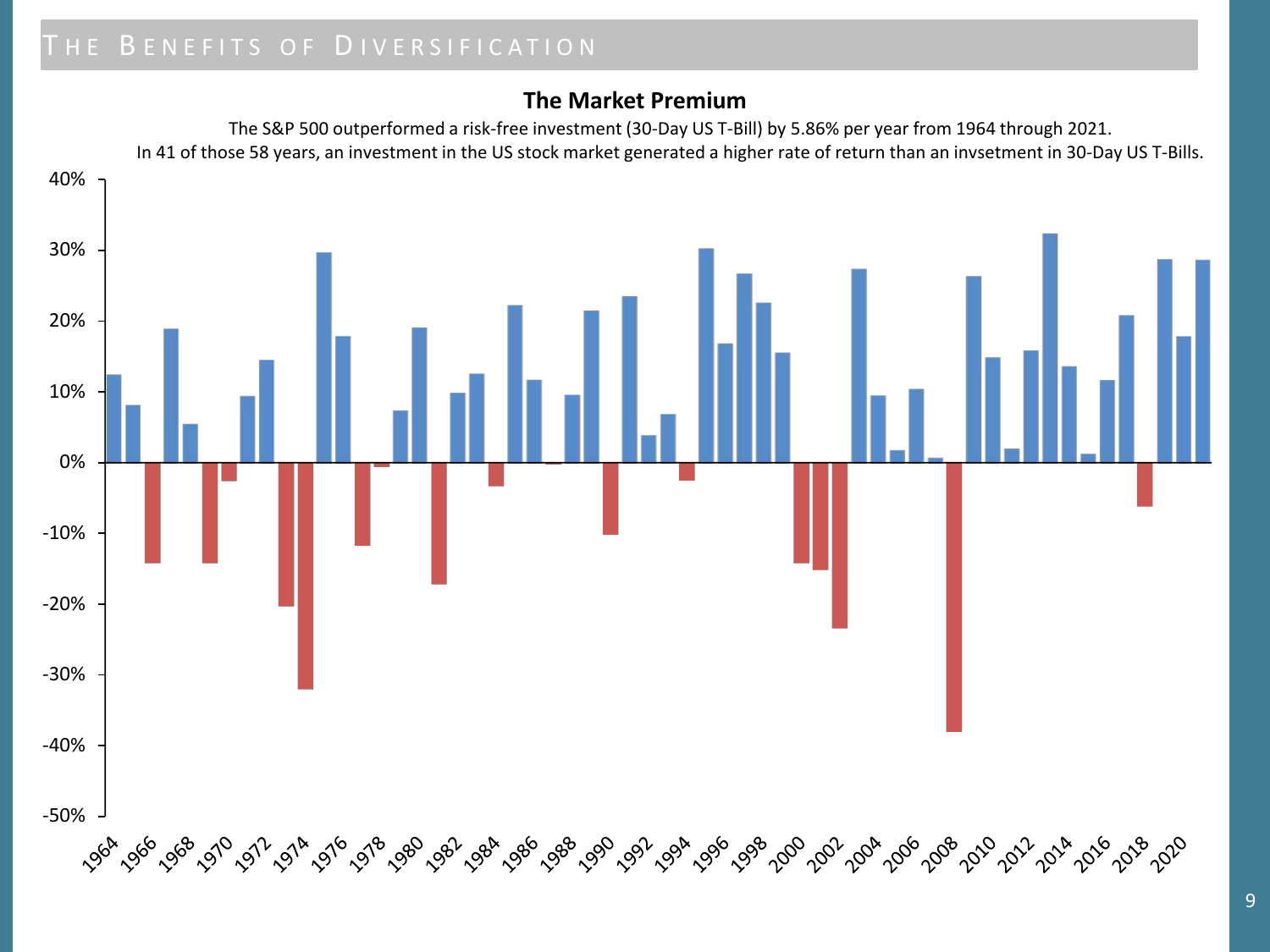### **The Market Premium**

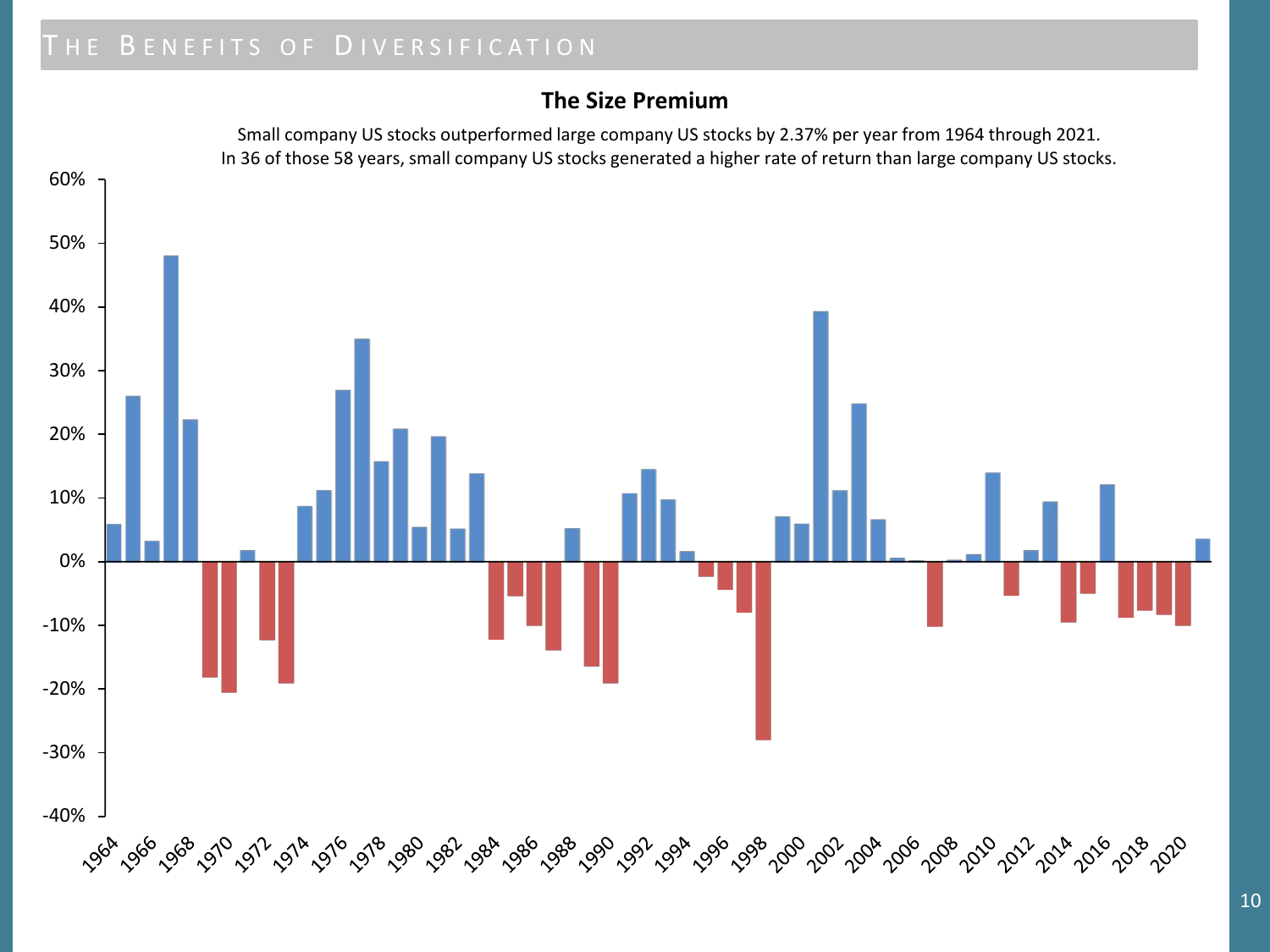### **The Size Premium**

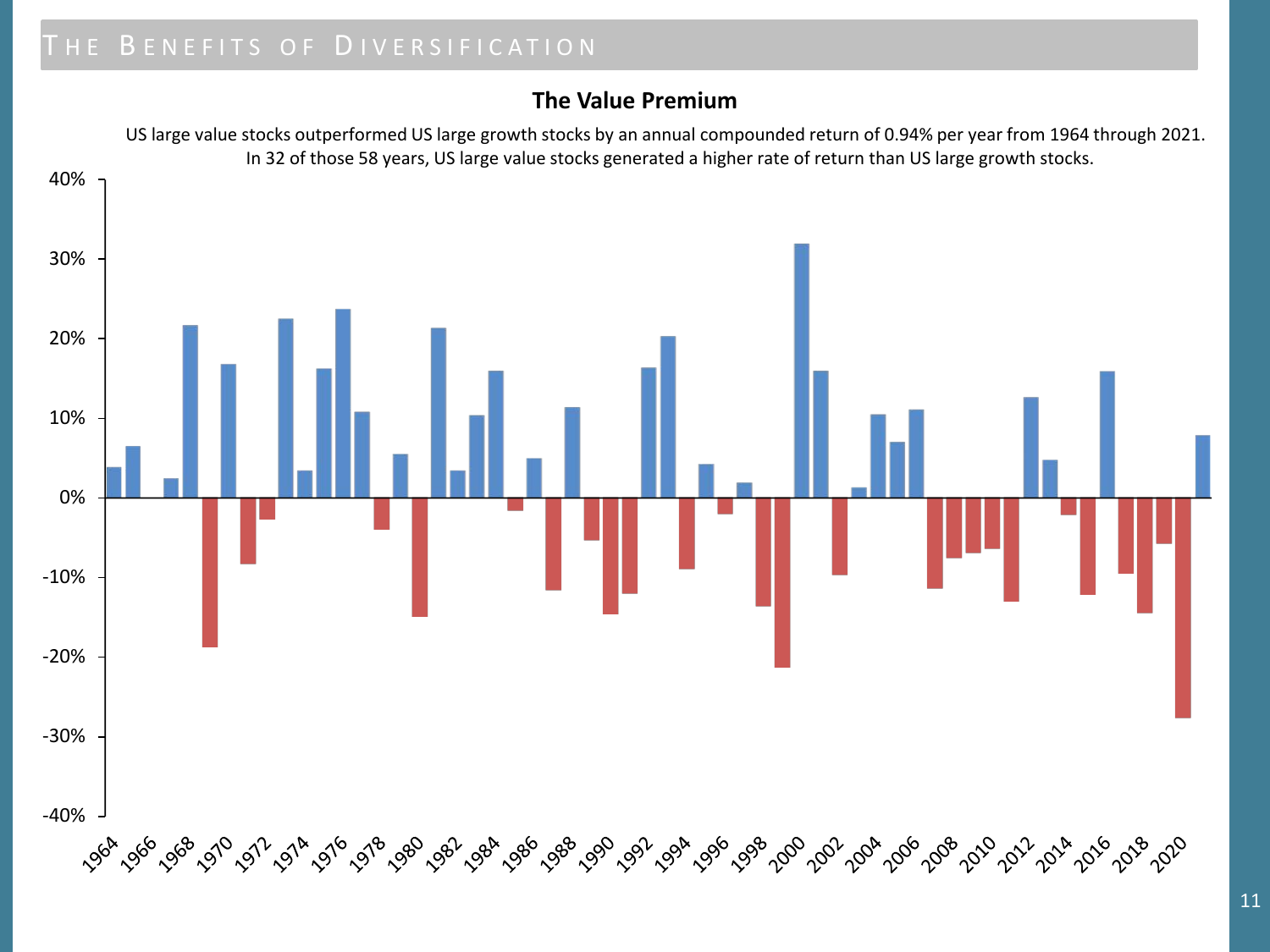### **The Value Premium**

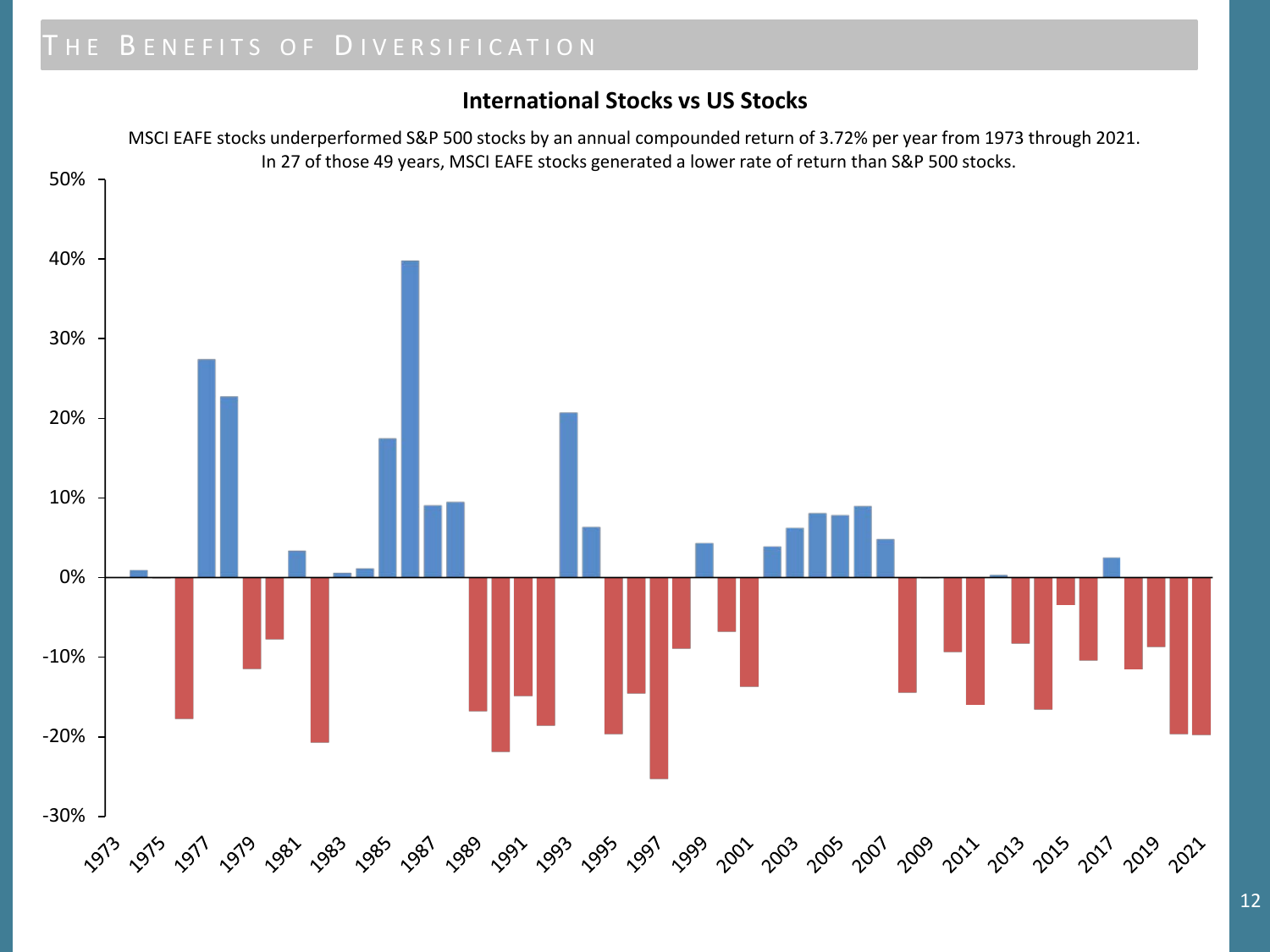### **International Stocks vs US Stocks**

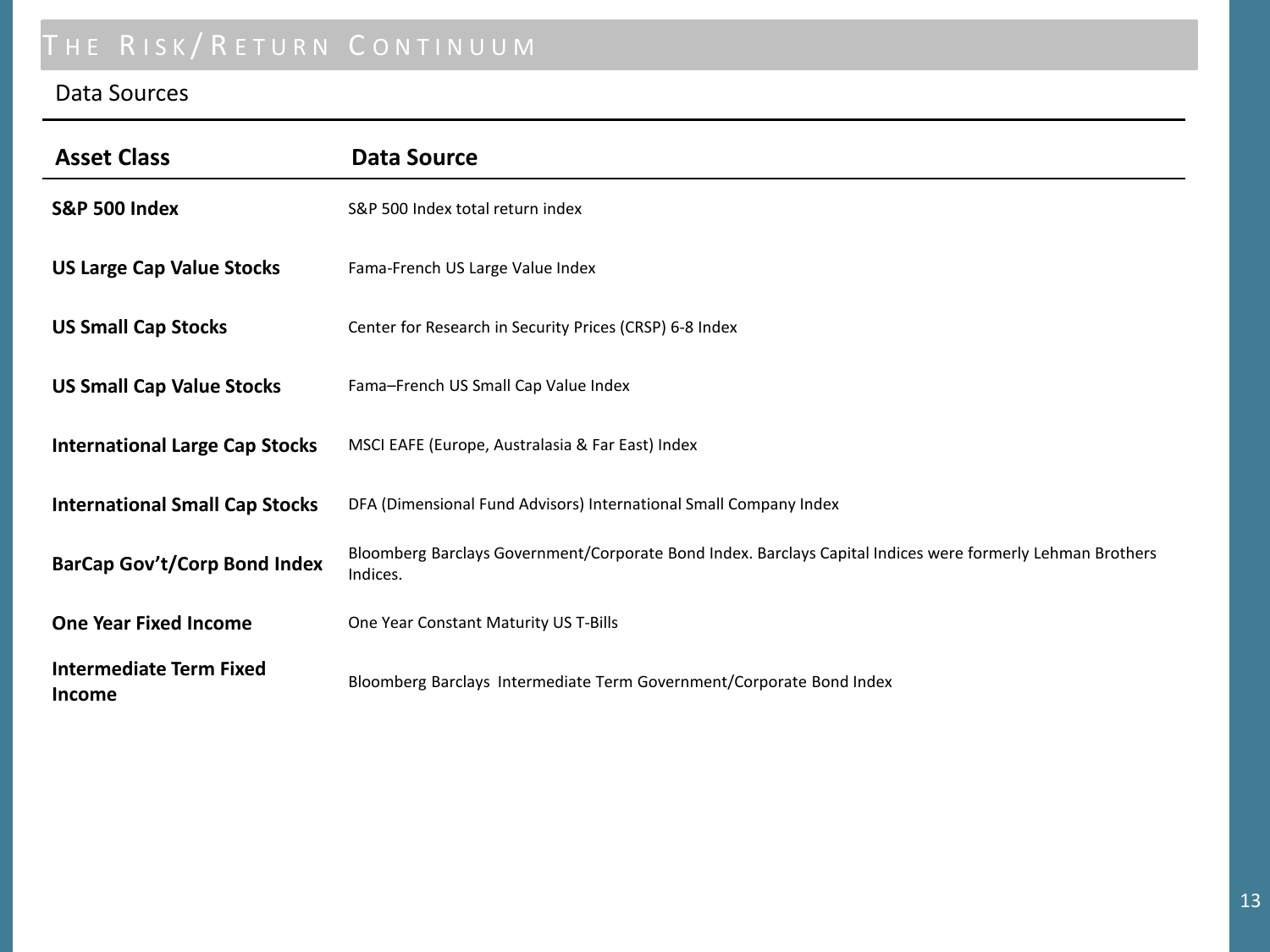# THE RISK/RETURN CONTINUUM

### Data Sources

| <b>Asset Class</b>                       | <b>Data Source</b>                                                                                                     |  |  |
|------------------------------------------|------------------------------------------------------------------------------------------------------------------------|--|--|
| <b>S&amp;P 500 Index</b>                 | S&P 500 Index total return index                                                                                       |  |  |
| <b>US Large Cap Value Stocks</b>         | Fama-French US Large Value Index                                                                                       |  |  |
| <b>US Small Cap Stocks</b>               | Center for Research in Security Prices (CRSP) 6-8 Index                                                                |  |  |
| <b>US Small Cap Value Stocks</b>         | Fama-French US Small Cap Value Index                                                                                   |  |  |
| <b>International Large Cap Stocks</b>    | MSCI EAFE (Europe, Australasia & Far East) Index                                                                       |  |  |
| <b>International Small Cap Stocks</b>    | DFA (Dimensional Fund Advisors) International Small Company Index                                                      |  |  |
| <b>BarCap Gov't/Corp Bond Index</b>      | Bloomberg Barclays Government/Corporate Bond Index. Barclays Capital Indices were formerly Lehman Brothers<br>Indices. |  |  |
| <b>One Year Fixed Income</b>             | One Year Constant Maturity US T-Bills                                                                                  |  |  |
| <b>Intermediate Term Fixed</b><br>Income | Bloomberg Barclays Intermediate Term Government/Corporate Bond Index                                                   |  |  |